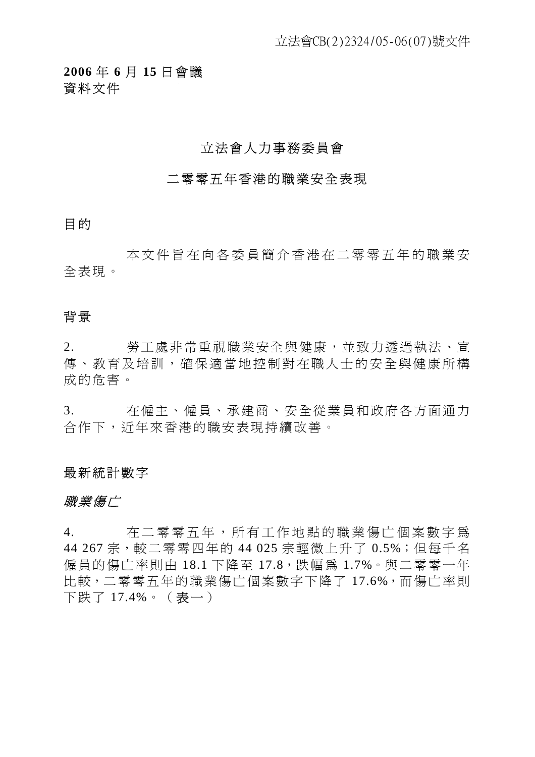**2006** 年 **6** 月 **15** 日會議 資料文件

# 立法會人力事務委員會

#### 二零零五年香港的職業安全表現

目的

本文件旨在向各委員簡介香港 在二零零五年的職業安 全表現。

# 背景

2. 勞工處非常重視職業安全與健康,並致力透過執法、宣 傳、教育及培訓,確保適當地控制對在職人士的安全與健康所構 成的危害。

3. 在僱主、僱員、承建商、安全從業員和政府各方面通力 合作下,近年來香港的職安表現持續改善。

#### 最新統計數字

#### 職業傷亡

4. 在二零零五年,所有工作地點的職業傷亡個案數字為 44 267 宗,較二零零四年的 44 025 宗輕微上升了 0.5%; 但每千名 僱員的傷亡率則由 18.1 下降至 17.8,跌幅為 1.7%。與二零零一年 比較,二零零五年的職業傷亡個案數字下降了 17.6%,而傷亡率則 下跌了 17.4%。(表一)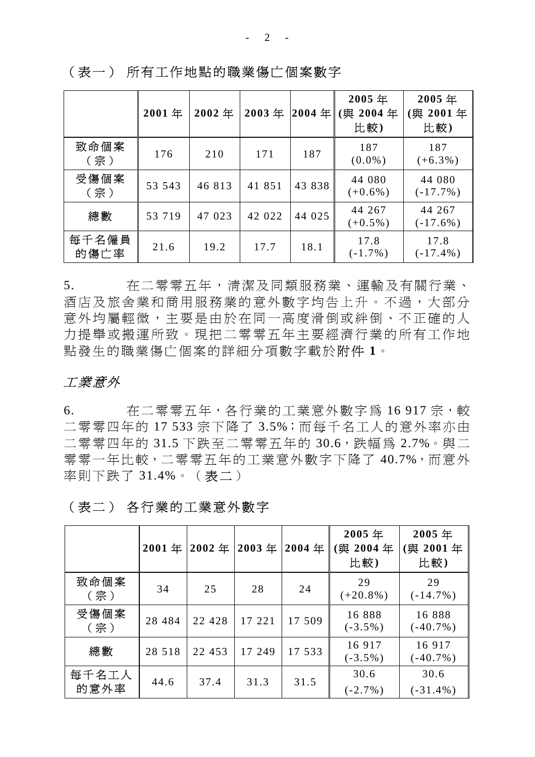**2001** 年 **2002** 年 **2003** 年 **2004** 年 **2005** 年 **(**與 **2004** 年 比 較 **) 2005** 年 **(**與 **2001** 年 比 較 **)**  致命個案 《命個案 | 176 | 210 | 171 | 187 | 187<br>(宗) | 176 | 210 | 171 | 187 | 187  $(0.0\%)$ 187  $(+6.3\%)$ 受傷個案 <sup>き</sup>傷個案 ┃ 53 543 │ 46 813 │ 41 851 │43 838│ <sup>44 080</sup><br>(宗)  $(+0.6\%)$ 44 080  $(-17.7\%)$ 總數 53 719 47 023 42 022 44 025 44 267  $(+0.5\%)$ 44 267 (-17.6%) 每千名僱員 <sup>手千名僱員</sup> 21.6 19.2 17.7 18.1 17.8<br>的傷亡率 21.6 19.2 17.7 18.1 <sub>(-1.7%</sub>  $(-1.7\%)$ 17.8 (-17.4%)

(表一) 所有工作地點的職業傷亡個案數字

5. 在二零零五年,清潔及同類服務業、運輸及有關行業、 酒店及旅舍業和商用服務業的意外數字均告上升。不過,大部分 意外均屬輕微,主要是由於在同一高度滑倒或絆倒、不正確的人 力提舉或搬運所致。現把二零零五年主要經濟行業的所有工作地 點發生的職業傷亡個案的詳細分項數字載於附件 **1**。

# 工業意外

6. 在二零零五年,各行業的工業意外數字為 16 917 宗,較 二零零四年的 17 533 宗下降了 3.5%;而每千名工人的意外率亦由 二零零四年的 31.5 下跌至二零零五年的 30.6, 跌幅為 2.7%。與二 零零一年比較,二零零五年的工業意外數字下降了 40.7%,而意外 率則下跌了 31.4%。(表二)

|               | 2001年    | 2002年   | 2003年  | 2004年  | 2005年<br>與 2004年<br>比較) | 2005年<br>與 2001年<br>比較) |
|---------------|----------|---------|--------|--------|-------------------------|-------------------------|
| 致命個案<br>(宗)   | 34       | 25      | 28     | 24     | 29<br>$(+20.8\%)$       | 29<br>$(-14.7\%)$       |
| 受傷個案<br>(宗)   | 28 4 8 4 | 22 4 28 | 17 221 | 17 509 | 16888<br>$(-3.5\%)$     | 16888<br>$(-40.7\%)$    |
| 總數            | 28 5 18  | 22 453  | 17 249 | 17 533 | 16 9 17<br>$(-3.5\%)$   | 16 9 17<br>$(-40.7\%)$  |
| 每千名工人<br>的意外率 | 44.6     | 37.4    | 31.3   | 31.5   | 30.6<br>$(-2.7\%)$      | 30.6<br>$(-31.4\%)$     |

#### (表二) 各行業的工業意外數字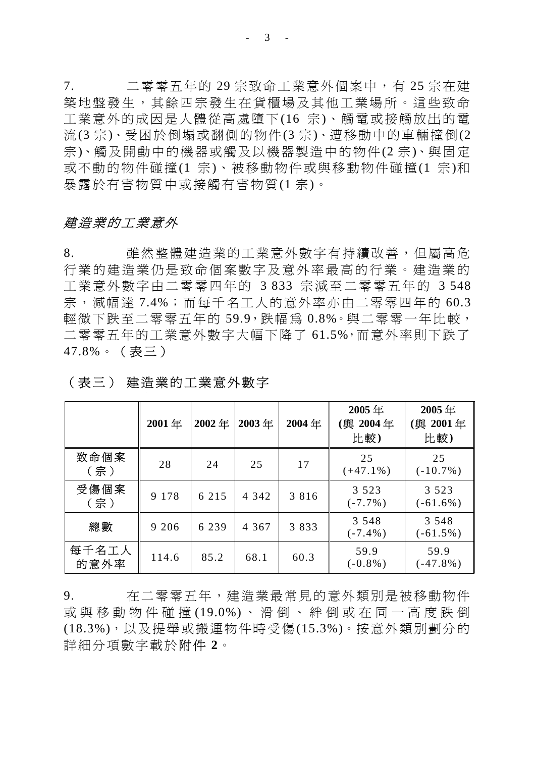7. 二零零五年的 29 宗致命工業意外個案中,有 25 宗在建 築地盤發生,其餘四宗發生在貨櫃場及其他工業場所。這些致命 工業意外的成因是人體從高處墮下(16 宗)、觸電或接觸放出的電 流(3 宗)、受困於倒塌或翻側的物件(3 宗)、遭移動中的車輛撞倒(2 宗)、觸及開動中的機器或觸及以機器製造中的物件(2 宗)、與固定 或不動的物件碰撞(1 宗)、被移動物件或與移動物件碰撞(1 宗)和 暴露於有害物質中或接觸有害物質(1 宗)。

### 建造業的工業意外

8. 雖然整體建造業的工業意外數字有持續改善,但屬高危 行業的建造業仍是致命個案數字及意外率最高的行業。建造業的 工業意外數字由二零零四年的 3 833 宗減至二零零五年的 3 548 宗, 減幅達 7.4%;而每千名工人的意外率亦由二零零四年的 60.3 輕微下跌至二零零五年的 59.9,跌幅為 0.8%。與二零零一年比較, 二零零五年的工業意外數字大幅下降了 61.5%,而意外率則下跌了 47.8%。(表三)

|               | 2001年   | 2002年   | 2003年   | 2004年   | 2005年<br>〔與 2004年<br>比較) | 2005年<br>舆 2001年<br>比較) |
|---------------|---------|---------|---------|---------|--------------------------|-------------------------|
| 致命個案<br>(宗)   | 28      | 24      | 25      | 17      | 25<br>$(+47.1\%)$        | 25<br>$(-10.7\%)$       |
| 受傷個案<br>(宗)   | 9 1 7 8 | 6 2 1 5 | 4 3 4 2 | 3 8 1 6 | 3 5 2 3<br>$(-7.7\%)$    | 3 5 2 3<br>$(-61.6\%)$  |
| 總數            | 9 2 0 6 | 6 2 3 9 | 4 3 6 7 | 3833    | 3 5 4 8<br>$(-7.4\%)$    | 3 5 4 8<br>$(-61.5\%)$  |
| 每千名工人<br>的意外率 | 114.6   | 85.2    | 68.1    | 60.3    | 59.9<br>$(-0.8\%)$       | 59.9<br>$(-47.8\%)$     |

### (表三) 建造業的工業意外數字

9. 在二零零五年,建造業最常見的意外類別是被移動物件 或與移動物件碰撞 (19.0%) 、滑倒、絆倒或在同一高度跌倒 (18.3%),以及提舉或搬運物件時受傷(15.3%)。按意外類別劃分的 詳細分項數字載於附件 **2**。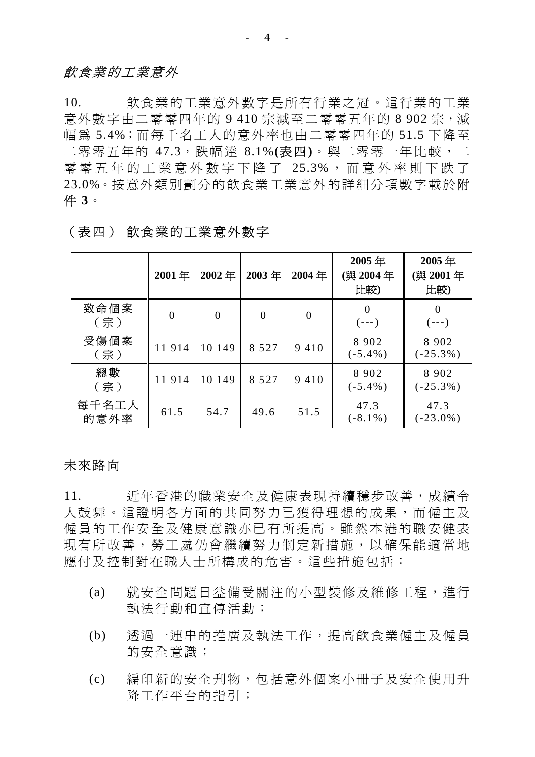### 飲食業的工業意外

10. 飲食業的工業意外數字是所有行業之冠。這行業的工業 意外數字由二零零四年的 9 410 宗減至二零零五年的 8 902 宗, 減 幅為 5.4%;而每千名工人的意外率也由二零零四年的 51.5 下降至 二零零五年的 47.3,跌幅達 8.1%**(**表四**)**。與二零零一年比較,二 零零五年的工業意外數字下降了 25.3% ,而意外率則下跌了 23.0%。按意外類別劃分的飲食業工業意外的詳細分項數字載於附 件 **3**。

|               | 2001年    | 2002年          | 2003年          | 2004年    | 2005年<br>(與 2004年<br>比較) | 2005年<br>(與 2001年<br>比較) |
|---------------|----------|----------------|----------------|----------|--------------------------|--------------------------|
| 致命個案<br>(宗)   | $\theta$ | $\overline{0}$ | $\overline{0}$ | $\theta$ | 0<br>$(- - )$            | $\overline{0}$<br>(---)  |
| 受傷個案<br>(宗)   | 11914    | 10 149         | 8 5 2 7        | 9 4 1 0  | 8 9 0 2<br>$(-5.4\%)$    | 8 9 0 2<br>$(-25.3\%)$   |
| 總數<br>(宗)     | 11914    | 10 149         | 8 5 2 7        | 9 4 1 0  | 8 9 0 2<br>$(-5.4\%)$    | 8 9 0 2<br>$(-25.3\%)$   |
| 每千名工人<br>的意外率 | 61.5     | 54.7           | 49.6           | 51.5     | 47.3<br>$(-8.1\%)$       | 47.3<br>$(-23.0\%)$      |

# (表四) 飲食業的工業意外數字

# 未來路向

11. 近年香港的職業安全及健康表現持續穩步改善,成績令 人鼓舞。這證明各方面的共同努力已獲得理想的成果,而僱主及 僱員的工作安全及健康意識亦已有所提高。雖然本港的職安健表 現有所改善,勞工處仍會繼續努力制定新措施,以確保能適當地 應付及控制對在職人士所構成的危害。這些措施包括:

- (a) 就安全問題日益備受關注的小型裝修及維修工程, 淮行 執法行動和宣傳活動;
- (b) 透過一連串的推廣及執法工作,提高飲食業僱主及僱員 的安全意識;
- (c) 編印新的安全刋物,包括意外個案小冊子及安全使用升 降工作平台的指引;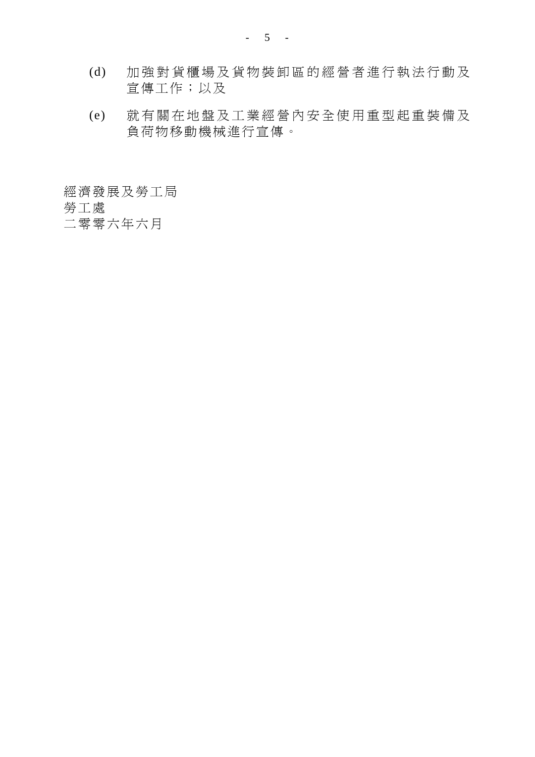- (d) 加強對貨櫃場及貨物裝卸區的 經營者進行執法行動及 宣傳工作;以及
- (e) 就有關在地盤及工業經營內安 全使用重型起重裝備及 負荷物移動機械進行宣傳。

經濟發展及勞工局

勞工處

二零零六年六月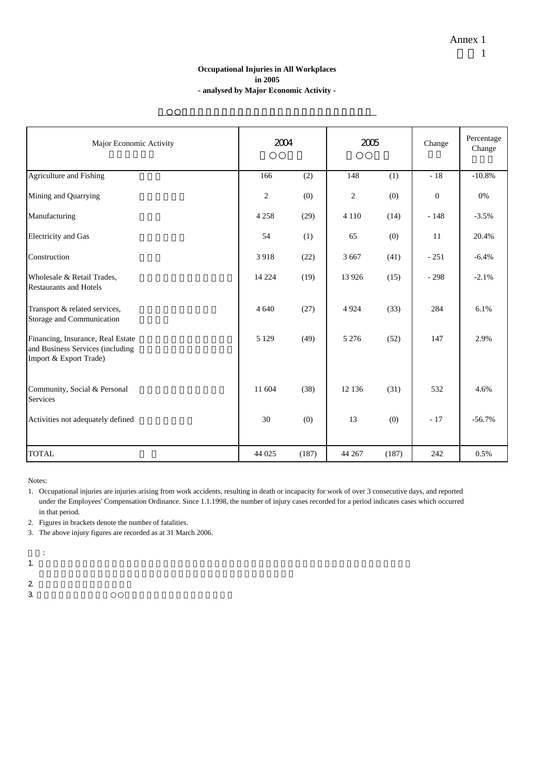#### **Occupational Injuries in All Workplaces in 2005 - analysed by Major Economic Activity -**

二○○五年所有工作地點之職業傷亡個案以主要經濟行業分析

| Major Economic Activity                                                                         | 2004           |       | 2005           |       | Change         | Percentage<br>Change |
|-------------------------------------------------------------------------------------------------|----------------|-------|----------------|-------|----------------|----------------------|
| Agriculture and Fishing                                                                         | 166            | (2)   | 148            | (1)   | $-18$          | $-10.8%$             |
| Mining and Quarrying                                                                            | $\mathfrak{2}$ | (0)   | $\overline{c}$ | (0)   | $\overline{0}$ | 0%                   |
| Manufacturing                                                                                   | 4 2 5 8        | (29)  | 4 1 1 0        | (14)  | $-148$         | $-3.5%$              |
| <b>Electricity</b> and Gas                                                                      | 54             | (1)   | 65             | (0)   | 11             | 20.4%                |
| Construction                                                                                    | 3918           | (22)  | 3 6 6 7        | (41)  | $-251$         | $-6.4%$              |
| Wholesale & Retail Trades,<br><b>Restaurants and Hotels</b>                                     | 14 2 24        | (19)  | 13 9 26        | (15)  | $-298$         | $-2.1%$              |
| Transport & related services,<br>Storage and Communication                                      | 4 6 4 0        | (27)  | 4 9 24         | (33)  | 284            | 6.1%                 |
| Financing, Insurance, Real Estate<br>and Business Services (including<br>Import & Export Trade) | 5 1 2 9        | (49)  | 5 2 7 6        | (52)  | 147            | 2.9%                 |
| Community, Social & Personal<br><b>Services</b>                                                 | 11 604         | (38)  | 12 13 6        | (31)  | 532            | 4.6%                 |
| Activities not adequately defined                                                               | 30             | (0)   | 13             | (0)   | $-17$          | $-56.7%$             |
| <b>TOTAL</b>                                                                                    | 44 025         | (187) | 44 267         | (187) | 242            | 0.5%                 |

Notes:

2. Figures in brackets denote the number of fatalities.

3. The above injury figures are recorded as at 31 March 2006.

1.  $\blacksquare$ 

 $\ddot{.}$ 

 $2 \,$ 

 $3$ 

<sup>1.</sup> Occupational injuries are injuries arising from work accidents, resulting in death or incapacity for work of over 3 consecutive days, and reported under the Employees' Compensation Ordinance. Since 1.1.1998, the number of injury cases recorded for a period indicates cases which occurred in that period.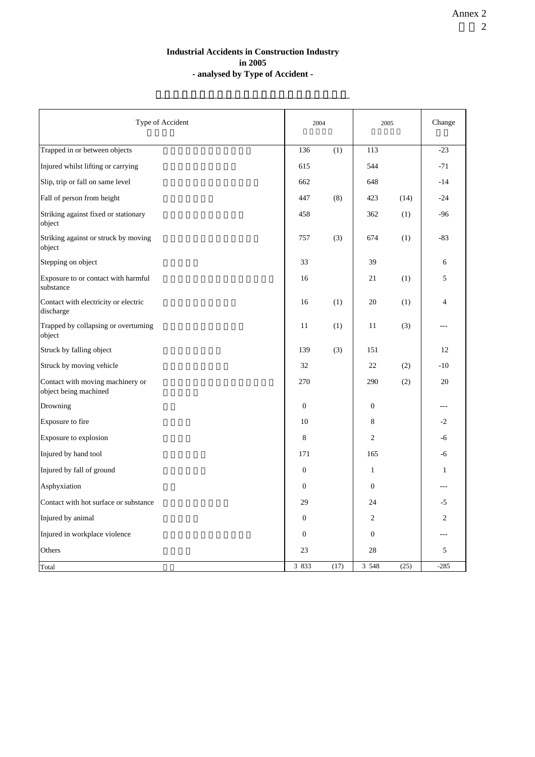#### **Industrial Accidents in Construction Industry in 2005 - analysed by Type of Accident -**

二零零五年建造業之工業意外個案以意外類別分析

| Type of Accident                                          |                  | 2004             |                  | 2005 |                |
|-----------------------------------------------------------|------------------|------------------|------------------|------|----------------|
| Trapped in or between objects                             | 136              | $\overline{(1)}$ | 113              |      | $-23$          |
| Injured whilst lifting or carrying                        | 615              |                  | 544              |      | $-71$          |
| Slip, trip or fall on same level                          | 662              |                  | 648              |      | $-14$          |
| Fall of person from height                                | 447              | (8)              | 423              | (14) | $-24$          |
| Striking against fixed or stationary<br>object            | 458              |                  | 362              | (1)  | $-96$          |
| Striking against or struck by moving<br>object            | 757              | (3)              | 674              | (1)  | $-83$          |
| Stepping on object                                        | 33               |                  | 39               |      | 6              |
| Exposure to or contact with harmful<br>substance          | 16               |                  | 21               | (1)  | 5              |
| Contact with electricity or electric<br>discharge         | 16               | (1)              | 20               | (1)  | $\overline{4}$ |
| Trapped by collapsing or overturning<br>object            | 11               | (1)              | 11               | (3)  |                |
| Struck by falling object                                  | 139              | (3)              | 151              |      | 12             |
| Struck by moving vehicle                                  | 32               |                  | 22               | (2)  | $-10$          |
| Contact with moving machinery or<br>object being machined | 270              |                  | 290              | (2)  | 20             |
| Drowning                                                  | $\boldsymbol{0}$ |                  | $\boldsymbol{0}$ |      | ---            |
| Exposure to fire                                          | 10               |                  | 8                |      | $-2$           |
| Exposure to explosion                                     | 8                |                  | $\overline{c}$   |      | -6             |
| Injured by hand tool                                      | 171              |                  | 165              |      | -6             |
| Injured by fall of ground                                 | $\boldsymbol{0}$ |                  | $\mathbf{1}$     |      | $\mathbf{1}$   |
| Asphyxiation                                              | $\mathbf{0}$     |                  | $\mathbf{0}$     |      | ---            |
| Contact with hot surface or substance                     | 29               |                  | 24               |      | $-5$           |
| Injured by animal                                         | $\boldsymbol{0}$ |                  | $\overline{c}$   |      | $\overline{c}$ |
| Injured in workplace violence                             | $\mathbf{0}$     |                  | $\mathbf{0}$     |      |                |
| Others                                                    | 23               |                  | 28               |      | 5              |
| Total                                                     | 3 833            | (17)             | 3 5 4 8          | (25) | $-285$         |